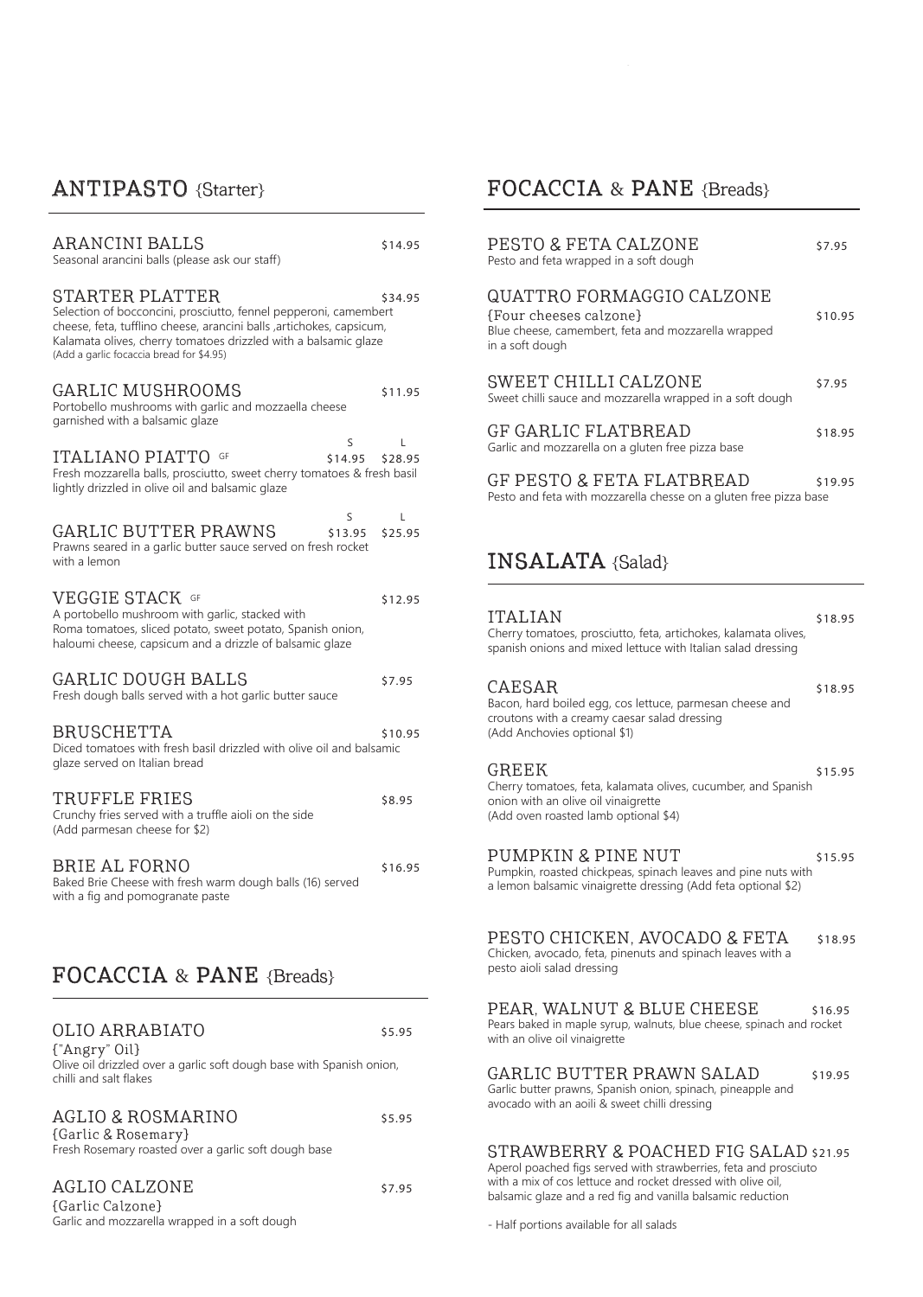# ANTIPASTO {Starter}

| <b>ARANCINI BALLS</b><br>Seasonal arancini balls (please ask our staff)                                                                                                                                                                                                     | \$14.95      |
|-----------------------------------------------------------------------------------------------------------------------------------------------------------------------------------------------------------------------------------------------------------------------------|--------------|
| STARTER PLATTER<br>Selection of bocconcini, prosciutto, fennel pepperoni, camembert<br>cheese, feta, tufflino cheese, arancini balls , artichokes, capsicum,<br>Kalamata olives, cherry tomatoes drizzled with a balsamic glaze<br>(Add a garlic focaccia bread for \$4.95) | \$34.95      |
| GARLIC MUSHROOMS<br>Portobello mushrooms with garlic and mozzaella cheese<br>garnished with a balsamic glaze                                                                                                                                                                | \$11.95      |
| S<br>ITALIANO PIATTO GF<br>\$14.95<br>Fresh mozzarella balls, prosciutto, sweet cherry tomatoes & fresh basil<br>lightly drizzled in olive oil and balsamic glaze                                                                                                           | L<br>\$28.95 |
| S<br>GARLIC BUTTER PRAWNS<br>\$13.95<br>Prawns seared in a garlic butter sauce served on fresh rocket<br>with a lemon                                                                                                                                                       | L<br>\$25.95 |
| VEGGIE STACK GF<br>A portobello mushroom with garlic, stacked with<br>Roma tomatoes, sliced potato, sweet potato, Spanish onion,<br>haloumi cheese, capsicum and a drizzle of balsamic glaze                                                                                | \$12.95      |
| GARLIC DOUGH BALLS<br>Fresh dough balls served with a hot garlic butter sauce                                                                                                                                                                                               | \$7.95       |
| <b>BRUSCHETTA</b><br>Diced tomatoes with fresh basil drizzled with olive oil and balsamic<br>glaze served on Italian bread                                                                                                                                                  | \$10.95      |
| TRUFFLE FRIES<br>Crunchy fries served with a truffle aioli on the side<br>(Add parmesan cheese for \$2)                                                                                                                                                                     | \$8.95       |
| BRIE AL FORNO<br>Baked Brie Cheese with fresh warm dough balls (16) served<br>with a fig and pomogranate paste                                                                                                                                                              | \$16.95      |
|                                                                                                                                                                                                                                                                             |              |
| FOCACCIA & PANE {Breads}                                                                                                                                                                                                                                                    |              |
| OLIO ARRABIATO<br>{"Angry" Oil}<br>Olive oil drizzled over a garlic soft dough base with Spanish onion,<br>chilli and salt flakes                                                                                                                                           | \$5.95       |
| AGLIO & ROSMARINO<br>{Garlic & Rosemary}<br>Fresh Rosemary roasted over a garlic soft dough base                                                                                                                                                                            | \$5.95       |
| <b>AGLIO CALZONE</b><br>{Garlic Calzone}<br>Garlic and mozzarella wrapped in a soft dough                                                                                                                                                                                   | \$7.95       |

# FOCACCIA & PANE {Breads}

| PESTO & FETA CALZONE<br>Pesto and feta wrapped in a soft dough                                                                | \$7.95  |
|-------------------------------------------------------------------------------------------------------------------------------|---------|
| QUATTRO FORMAGGIO CALZONE<br>{Four cheeses calzone}<br>Blue cheese, camembert, feta and mozzarella wrapped<br>in a soft dough | \$10.95 |
| SWEET CHILLI CALZONE<br>Sweet chilli sauce and mozzarella wrapped in a soft dough                                             | \$7.95  |
| GF GARLIC FLATBREAD<br>Garlic and mozzarella on a gluten free pizza base                                                      | \$18.95 |
| <b>GF PESTO &amp; FETA FLATBREAD</b><br>Pesto and feta with mozzarella chesse on a gluten free pizza base                     | \$19.95 |

## INSALATA {Salad}

| <b>ITALIAN</b><br>Cherry tomatoes, prosciutto, feta, artichokes, kalamata olives,<br>spanish onions and mixed lettuce with Italian salad dressing                          | \$18.95 |
|----------------------------------------------------------------------------------------------------------------------------------------------------------------------------|---------|
| CAESAR<br>Bacon, hard boiled egg, cos lettuce, parmesan cheese and<br>croutons with a creamy caesar salad dressing<br>(Add Anchovies optional \$1)                         | \$18.95 |
| GREEK<br>Cherry tomatoes, feta, kalamata olives, cucumber, and Spanish<br>onion with an olive oil vinaigrette<br>(Add oven roasted lamb optional \$4)                      | \$15.95 |
| PUMPKIN & PINE NUT<br>Pumpkin, roasted chickpeas, spinach leaves and pine nuts with<br>a lemon balsamic vinaigrette dressing (Add feta optional \$2)                       | \$15.95 |
| PESTO CHICKEN, AVOCADO & FETA<br>Chicken, avocado, feta, pinenuts and spinach leaves with a<br>pesto aioli salad dressing                                                  | \$18.95 |
| PEAR, WALNUT & BLUE CHEESE<br>Pears baked in maple syrup, walnuts, blue cheese, spinach and rocket<br>with an olive oil vinaigrette                                        | \$16.95 |
| GARLIC BUTTER PRAWN SALAD<br>Garlic butter prawns, Spanish onion, spinach, pineapple and<br>avocado with an aoili & sweet chilli dressing                                  | \$19.95 |
| STRAWBERRY & POACHED FIG SALAD \$21.95<br>Aperol poached figs served with strawberries, feta and prosciuto<br>with a mix of cos lettuce and rocket dressed with olive oil, |         |

balsamic glaze and a red fig and vanilla balsamic reduction

- Half portions available for all salads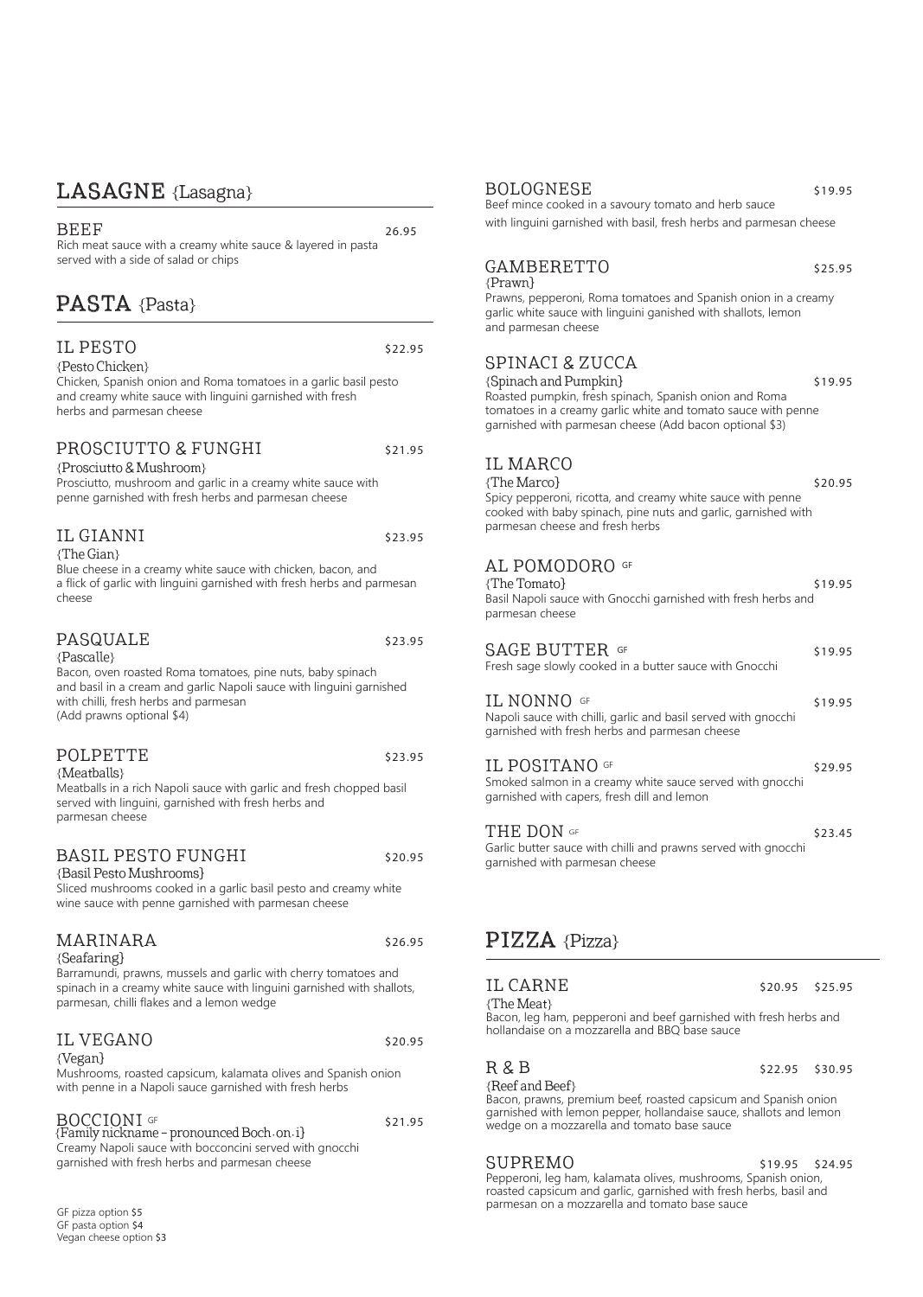### LASAGNE {Lasagna}

 $BEEF$  26.95 Rich meat sauce with a creamy white sauce & layered in pasta served with a side of salad or chips

## PASTA {Pasta}

### IL PESTO S22.95

{Pesto Chicken} Chicken, Spanish onion and Roma tomatoes in a garlic basil pesto and creamy white sauce with linguini garnished with fresh herbs and parmesan cheese

#### PROSCIUTTO & FUNGHI \$21.95

{Prosciutto & Mushroom} Prosciutto, mushroom and garlic in a creamy white sauce with penne garnished with fresh herbs and parmesan cheese

#### IL GIANNI \$23.95

{The Gian}

Blue cheese in a creamy white sauce with chicken, bacon, and a flick of garlic with linguini garnished with fresh herbs and parmesan cheese

### PASQUALE  $$23.95$

{Pascalle}

Bacon, oven roasted Roma tomatoes, pine nuts, baby spinach and basil in a cream and garlic Napoli sauce with linguini garnished with chilli, fresh herbs and parmesan (Add prawns optional \$4)

#### POLPETTE \$23.95

parmesan cheese

{Meatballs} Meatballs in a rich Napoli sauce with garlic and fresh chopped basil served with linguini, garnished with fresh herbs and

### BASIL PESTO FUNGHI \$20.95

{Basil Pesto Mushrooms}

Sliced mushrooms cooked in a garlic basil pesto and creamy white wine sauce with penne garnished with parmesan cheese

### MARINARA \$26.95

{Seafaring}

Barramundi, prawns, mussels and garlic with cherry tomatoes and spinach in a creamy white sauce with linguini garnished with shallots, parmesan, chilli flakes and a lemon wedge

#### IL VEGANO \$20.95

{Vegan}

Mushrooms, roasted capsicum, kalamata olives and Spanish onion with penne in a Napoli sauce garnished with fresh herbs

| <b>BOCCIONI</b> GF                                      | \$21.95 |
|---------------------------------------------------------|---------|
| {Family nickname - pronounced Boch·on·i}                |         |
| Creamy Napoli sauce with bocconcini served with gnocchi |         |
| garnished with fresh herbs and parmesan cheese          |         |

GF pizza option \$5 GF pasta option \$4 Vegan cheese option \$3

#### BOLOGNESE \$19.95

Beef mince cooked in a savoury tomato and herb sauce with linguini garnished with basil, fresh herbs and parmesan cheese

### GAMBERETTO \$25.95

{Prawn}

Prawns, pepperoni, Roma tomatoes and Spanish onion in a creamy garlic white sauce with linguini ganished with shallots, lemon and parmesan cheese

### SPINACI & ZUCCA

{Spinach and Pumpkin} \$19.95 Roasted pumpkin, fresh spinach, Spanish onion and Roma tomatoes in a creamy garlic white and tomato sauce with penne garnished with parmesan cheese (Add bacon optional \$3)

### IL MARCO

 ${ \n {The Marco} }$   ${ \n 320.95}$ Spicy pepperoni, ricotta, and creamy white sauce with penne cooked with baby spinach, pine nuts and garlic, garnished with parmesan cheese and fresh herbs

### AL POMODORO GF

 ${The Tomato}$  \$19.95 Basil Napoli sauce with Gnocchi garnished with fresh herbs and parmesan cheese

 $SAGE$   $BUTTER$   $GF$   $(5)$ Fresh sage slowly cooked in a butter sauce with Gnocchi  $IL NONNO$  GF  $$19.95$ Napoli sauce with chilli, garlic and basil served with gnocchi garnished with fresh herbs and parmesan cheese

 $IL$   $POSTTANO$   $GF$   $529.95$ Smoked salmon in a creamy white sauce served with gnocchi garnished with capers, fresh dill and lemon

THE DON  $GF$ Garlic butter sauce with chilli and prawns served with gnocchi garnished with parmesan cheese THE DON of

### PIZZA {Pizza}

IL CARNE \$20.95 \$25.95<br>The Meat {\mat} Bacon, leg ham, pepperoni and beef garnished with fresh herbs and hollandaise on a mozzarella and BBQ base sauce

 $R$  &  $B$   $$22.95$   $$30.95$ <br>{Reef and Beef}

{**Reef and Beef**}<br>Bacon, prawns, premium beef, roasted capsicum and Spanish onion garnished with lemon pepper, hollandaise sauce, shallots and lemon wedge on a mozzarella and tomato base sauce

SUPREMO \$19.95 \$24.95 Pepperoni, leg ham, kalamata olives, mushrooms, Spanish onion, roasted capsicum and garlic, garnished with fresh herbs, basil and parmesan on a mozzarella and tomato base sauce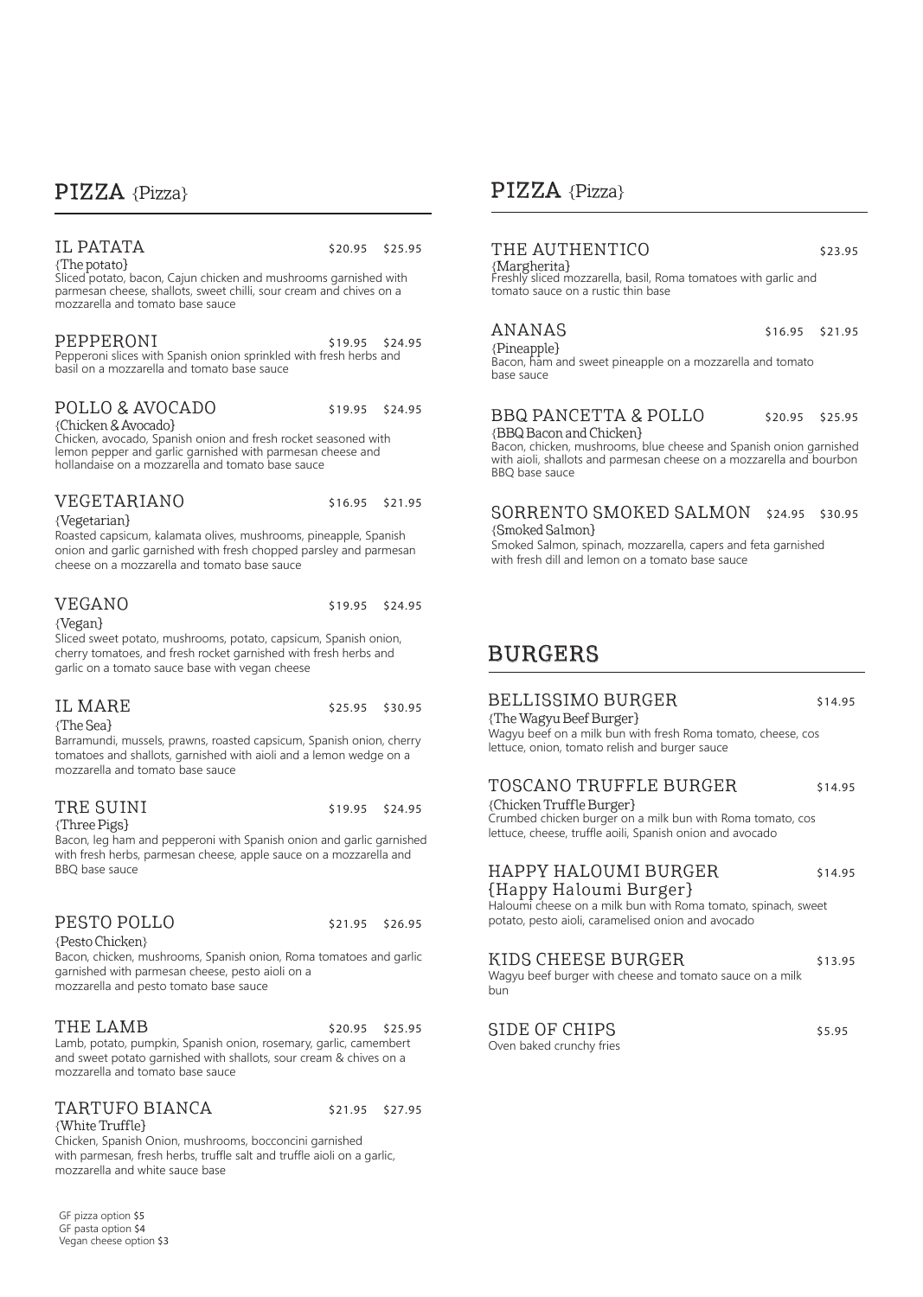### PIZZA {Pizza}

# IL PATATA  $\frac{1}{25.95}$  \$20.95 \$25.95

Sliced potato, bacon, Cajun chicken and mushrooms garnished with parmesan cheese, shallots, sweet chilli, sour cream and chives on a mozzarella and tomato base sauce

# PEPPERONI \$19.95 \$24.95 Pepperoni slices with Spanish onion sprinkled with fresh herbs and

basil on a mozzarella and tomato base sauce

# POLLO & AVOCADO \$19.95 \$24.95<br>{Chicken & Avocado}

Chicken, avocado, Spanish onion and fresh rocket seasoned with lemon pepper and garlic garnished with parmesan cheese and hollandaise on a mozzarella and tomato base sauce

#### VEGETARIANO \$16.95 \$21.95

{Vegetarian}

Roasted capsicum, kalamata olives, mushrooms, pineapple, Spanish onion and garlic garnished with fresh chopped parsley and parmesan cheese on a mozzarella and tomato base sauce

Sliced sweet potato, mushrooms, potato, capsicum, Spanish onion, cherry tomatoes, and fresh rocket garnished with fresh herbs and

#### VEGANO \$19.95 \$24.95

{Vegan}

# garlic on a tomato sauce base with vegan cheese

{The Sea}

IL MARE \$25.95 \$30.95

Barramundi, mussels, prawns, roasted capsicum, Spanish onion, cherry tomatoes and shallots, garnished with aioli and a lemon wedge on a mozzarella and tomato base sauce

#### TRE SUINI \$19.95 \$24.95 {Three Pigs}

Bacon, leg ham and pepperoni with Spanish onion and garlic garnished with fresh herbs, parmesan cheese, apple sauce on a mozzarella and BBQ base sauce

#### PESTO POLLO \$21.95 \$26.95

{Pesto Chicken}

Bacon, chicken, mushrooms, Spanish onion, Roma tomatoes and garlic garnished with parmesan cheese, pesto aioli on a mozzarella and pesto tomato base sauce

THE LAMB  $$20.95$   $$25.95$ Lamb, potato, pumpkin, Spanish onion, rosemary, garlic, camembert and sweet potato garnished with shallots, sour cream & chives on a mozzarella and tomato base sauce

#### TARTUFO BIANCA \$21.95 \$27.95 {White Truffle}

Chicken, Spanish Onion, mushrooms, bocconcini garnished with parmesan, fresh herbs, truffle salt and truffle aioli on a garlic, mozzarella and white sauce base

GF pizza option \$5 GF pasta option \$4 Vegan cheese option \$3

## PIZZA {Pizza}

# THE AUTHENTICO<br>{Margherita}

Freshly sliced mozzarella, basil, Roma tomatoes with garlic and tomato sauce on a rustic thin base

ANANAS \$16.95 \$21.95<br>{Pineapple} Bacon, ham and sweet pineapple on a mozzarella and tomato base sauce

# BBQ PANCETTA & POLLO \$20.95 \$25.95<br>{BBQ Bacon and Chicken}

Bacon, chicken, mushrooms, blue cheese and Spanish onion garnished with aioli, shallots and parmesan cheese on a mozzarella and bourbon BBQ base sauce

#### SORRENTO SMOKED SALMON \$24.95 \$30.95 {Smoked Salmon}

Smoked Salmon, spinach, mozzarella, capers and feta garnished with fresh dill and lemon on a tomato base sauce

## BURGERS

### BELLISSIMO BURGER \$14.95

{The Wagyu Beef Burger} Wagyu beef on a milk bun with fresh Roma tomato, cheese, cos lettuce, onion, tomato relish and burger sauce

#### TOSCANO TRUFFLE BURGER \$14.95

{Chicken Truffle Burger}

Crumbed chicken burger on a milk bun with Roma tomato, cos lettuce, cheese, truffle aoili, Spanish onion and avocado

### HAPPY HALOUMI BURGER \$14.95

{Happy Haloumi Burger} Haloumi cheese on a milk bun with Roma tomato, spinach, sweet potato, pesto aioli, caramelised onion and avocado

#### KIDS CHEESE BURGER \$13.95

Wagyu beef burger with cheese and tomato sauce on a milk bun

SIDE OF CHIPS  $$5.95$ Oven baked crunchy fries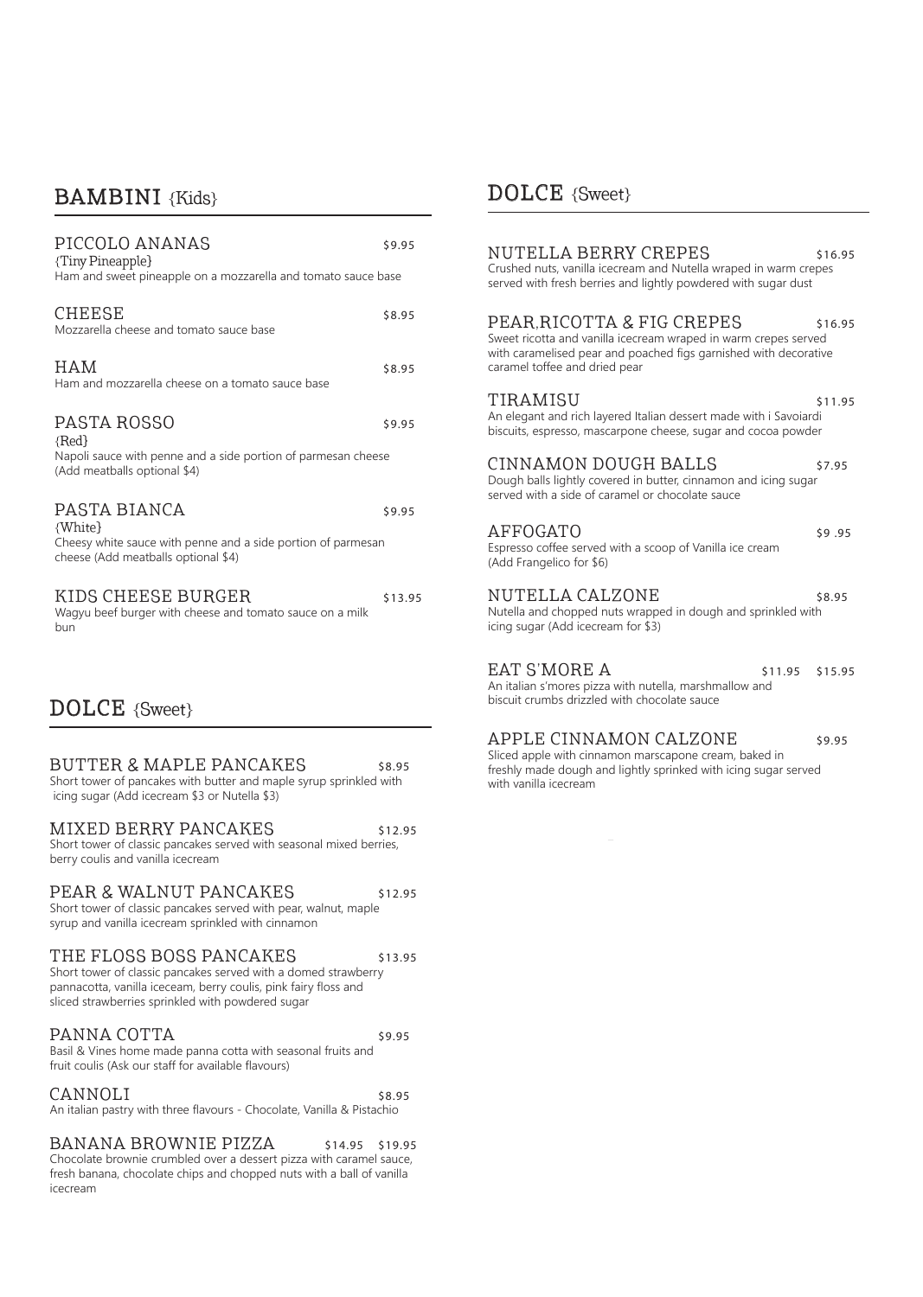### **BAMBINI** {Kids}

| PICCOLO ANANAS<br>{Tiny Pineapple}<br>Ham and sweet pineapple on a mozzarella and tomato sauce base                                                                                                               | \$9.95  |
|-------------------------------------------------------------------------------------------------------------------------------------------------------------------------------------------------------------------|---------|
| <b>CHEESE</b><br>Mozzarella cheese and tomato sauce base                                                                                                                                                          | \$8.95  |
| HAM<br>Ham and mozzarella cheese on a tomato sauce base                                                                                                                                                           | \$8.95  |
| PASTA ROSSO<br>${Red}$<br>Napoli sauce with penne and a side portion of parmesan cheese<br>(Add meatballs optional \$4)                                                                                           | \$9.95  |
| PASTA BIANCA<br>{White}<br>Cheesy white sauce with penne and a side portion of parmesan<br>cheese (Add meatballs optional \$4)                                                                                    | \$9.95  |
| KIDS CHEESE BURGER<br>Wagyu beef burger with cheese and tomato sauce on a milk<br>bun                                                                                                                             | \$13.95 |
| $DOLCE$ {Sweet}                                                                                                                                                                                                   |         |
| BUTTER & MAPLE PANCAKES<br>Short tower of pancakes with butter and maple syrup sprinkled with<br>icing sugar (Add icecream \$3 or Nutella \$3)                                                                    | \$8.95  |
| MIXED BERRY PANCAKES<br>Short tower of classic pancakes served with seasonal mixed berries,<br>berry coulis and vanilla icecream                                                                                  | \$12.95 |
| PEAR & WALNUT PANCAKES<br>Short tower of classic pancakes served with pear, walnut, maple<br>syrup and vanilla icecream sprinkled with cinnamon                                                                   | \$12.95 |
| THE FLOSS BOSS PANCAKES<br>Short tower of classic pancakes served with a domed strawberry<br>pannacotta, vanilla iceceam, berry coulis, pink fairy floss and<br>sliced strawberries sprinkled with powdered sugar | \$13.95 |

#### PANNA COTTA \$9.95 Basil & Vines home made panna cotta with seasonal fruits and

| fruit coulis (Ask our staff for available flavours)                    |        |
|------------------------------------------------------------------------|--------|
| CANNOLI                                                                | \$8.95 |
| An italian pastry with three flavours - Chocolate, Vanilla & Pistachio |        |

BANANA BROWNIE PIZZA \$14.95 \$19.95 Chocolate brownie crumbled over a dessert pizza with caramel sauce, fresh banana, chocolate chips and chopped nuts with a ball of vanilla icecream

### DOLCE {Sweet}

### NUTELLA BERRY CREPES \$16.95

Crushed nuts, vanilla icecream and Nutella wraped in warm crepes served with fresh berries and lightly powdered with sugar dust

#### PEAR, RICOTTA & FIG CREPES \$16.95

Sweet ricotta and vanilla icecream wraped in warm crepes served with caramelised pear and poached figs garnished with decorative caramel toffee and dried pear

TIRAMISU \$11.95 An elegant and rich layered Italian dessert made with i Savoiardi biscuits, espresso, mascarpone cheese, sugar and cocoa powder

#### CINNAMON DOUGH BALLS \$7.95

Dough balls lightly covered in butter, cinnamon and icing sugar served with a side of caramel or chocolate sauce

### AFFOGATO \$9.95

Espresso coffee served with a scoop of Vanilla ice cream (Add Frangelico for \$6)

#### NUTELLA CALZONE \$8.95

Nutella and chopped nuts wrapped in dough and sprinkled with icing sugar (Add icecream for \$3)

### $EAT S'MORE A$   $$11.95$   $$15.95$

An italian s'mores pizza with nutella, marshmallow and biscuit crumbs drizzled with chocolate sauce

#### APPLE CINNAMON CALZONE \$9.95

Sliced apple with cinnamon marscapone cream, baked in freshly made dough and lightly sprinked with icing sugar served with vanilla icecream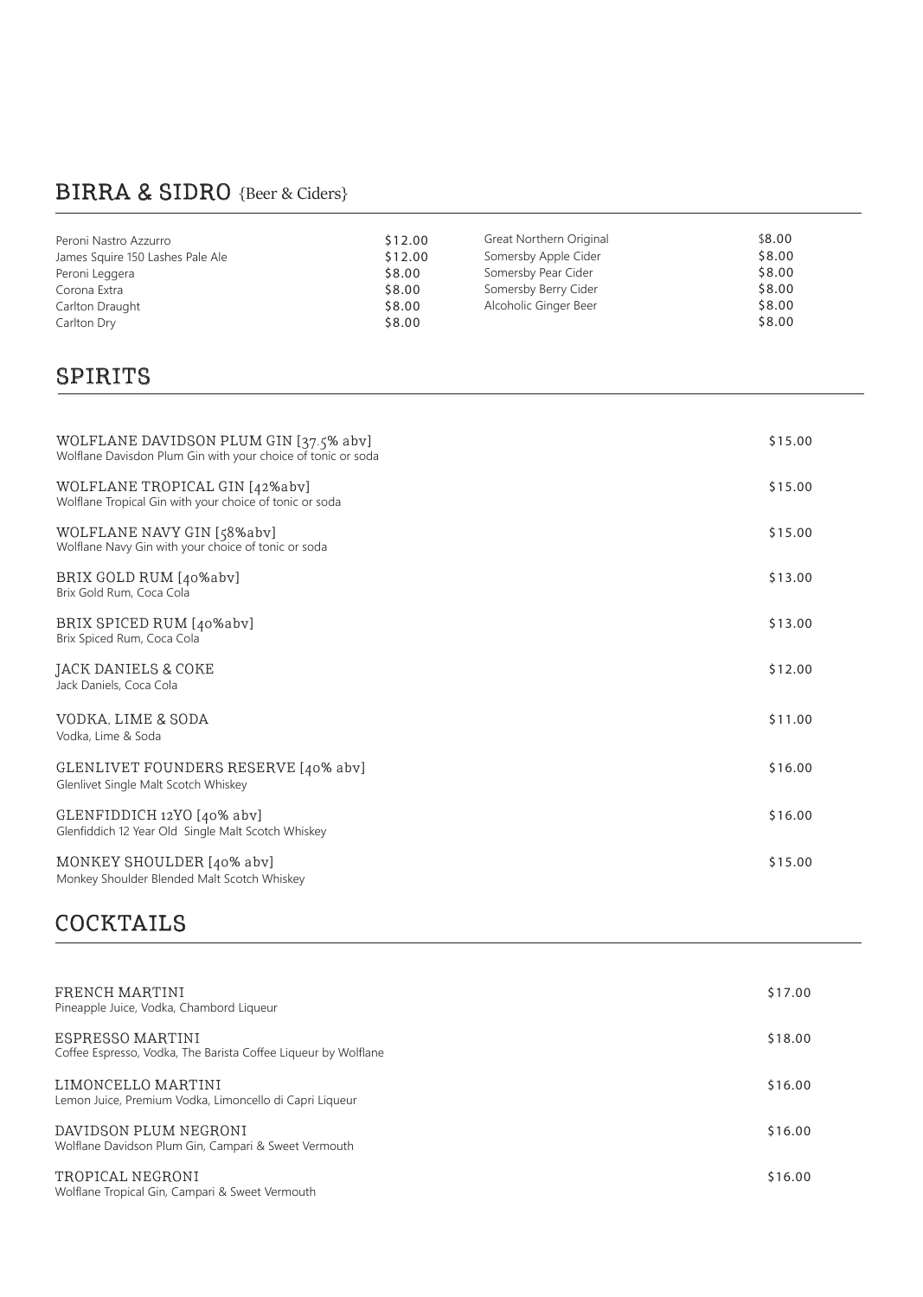# BIRRA & SIDRO {Beer & Ciders}

| Peroni Nastro Azzurro            | \$12.00 | Great Northern Original | \$8.00 |
|----------------------------------|---------|-------------------------|--------|
| James Squire 150 Lashes Pale Ale | \$12.00 | Somersby Apple Cider    | \$8.00 |
| Peroni Leggera                   | \$8.00  | Somersby Pear Cider     | \$8.00 |
| Corona Extra                     | \$8.00  | Somersby Berry Cider    | \$8.00 |
| Carlton Draught                  | \$8.00  | Alcoholic Ginger Beer   | \$8.00 |
| Carlton Dry                      | \$8.00  |                         | \$8.00 |

## SPIRITS

| WOLFLANE DAVIDSON PLUM GIN [37.5% abv]<br>Wolflane Davisdon Plum Gin with your choice of tonic or soda | \$15.00 |
|--------------------------------------------------------------------------------------------------------|---------|
| WOLFLANE TROPICAL GIN [42%abv]<br>Wolflane Tropical Gin with your choice of tonic or soda              | \$15.00 |
| WOLFLANE NAVY GIN [58%abv]<br>Wolflane Navy Gin with your choice of tonic or soda                      | \$15.00 |
| BRIX GOLD RUM [40%abv]<br>Brix Gold Rum, Coca Cola                                                     | \$13.00 |
| BRIX SPICED RUM [40%abv]<br>Brix Spiced Rum, Coca Cola                                                 | \$13.00 |
| JACK DANIELS & COKE<br>Jack Daniels, Coca Cola                                                         | \$12.00 |
| VODKA, LIME & SODA<br>Vodka, Lime & Soda                                                               | \$11.00 |
| GLENLIVET FOUNDERS RESERVE [40% abv]<br>Glenlivet Single Malt Scotch Whiskey                           | \$16.00 |
| GLENFIDDICH 12YO [40% abv]<br>Glenfiddich 12 Year Old Single Malt Scotch Whiskey                       | \$16.00 |
| MONKEY SHOULDER [40% abv]<br>Monkey Shoulder Blended Malt Scotch Whiskey                               | \$15.00 |

#### $\overline{a}$ **COCKTAILS**

| FRENCH MARTINI<br>Pineapple Juice, Vodka, Chambord Liqueur                         | \$17.00 |
|------------------------------------------------------------------------------------|---------|
| ESPRESSO MARTINI<br>Coffee Espresso, Vodka, The Barista Coffee Liqueur by Wolflane | \$18.00 |
| LIMONCELLO MARTINI<br>Lemon Juice, Premium Vodka, Limoncello di Capri Liqueur      | \$16.00 |
| DAVIDSON PLUM NEGRONI<br>Wolflane Davidson Plum Gin, Campari & Sweet Vermouth      | \$16.00 |
| TROPICAL NEGRONI<br>Wolflane Tropical Gin, Campari & Sweet Vermouth                | \$16.00 |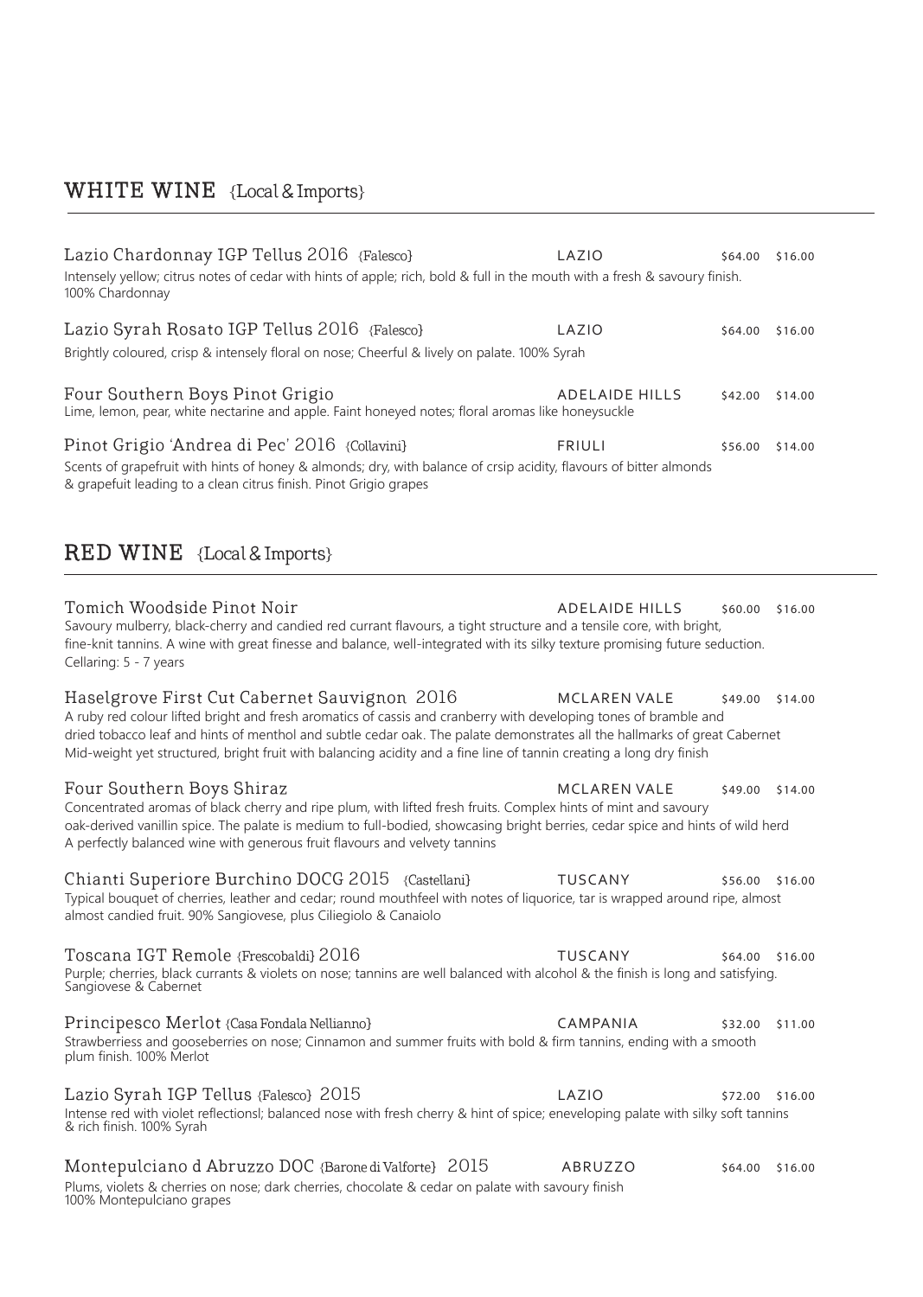# WHITE WINE {Local & Imports}

| Lazio Chardonnay IGP Tellus 2016 {Falesco}<br>Intensely yellow; citrus notes of cedar with hints of apple; rich, bold & full in the mouth with a fresh & savoury finish.<br>100% Chardonnay                                                                                                                                                                                                                          | LAZIO                 | \$64.00         | \$16.00 |
|----------------------------------------------------------------------------------------------------------------------------------------------------------------------------------------------------------------------------------------------------------------------------------------------------------------------------------------------------------------------------------------------------------------------|-----------------------|-----------------|---------|
| Lazio Syrah Rosato IGP Tellus 2016 {Falesco}<br>Brightly coloured, crisp & intensely floral on nose; Cheerful & lively on palate. 100% Syrah                                                                                                                                                                                                                                                                         | LAZIO                 | \$64.00         | \$16.00 |
| Four Southern Boys Pinot Grigio<br>Lime, lemon, pear, white nectarine and apple. Faint honeyed notes; floral aromas like honeysuckle                                                                                                                                                                                                                                                                                 | <b>ADELAIDE HILLS</b> | \$42.00         | \$14.00 |
| Pinot Grigio 'Andrea di Pec' 2016 {Collavini}<br>Scents of grapefruit with hints of honey & almonds; dry, with balance of crsip acidity, flavours of bitter almonds<br>& grapefuit leading to a clean citrus finish. Pinot Grigio grapes                                                                                                                                                                             | <b>FRIULI</b>         | \$56.00         | \$14.00 |
| <b>RED WINE</b> {Local & Imports}                                                                                                                                                                                                                                                                                                                                                                                    |                       |                 |         |
| Tomich Woodside Pinot Noir<br>Savoury mulberry, black-cherry and candied red currant flavours, a tight structure and a tensile core, with bright,<br>fine-knit tannins. A wine with great finesse and balance, well-integrated with its silky texture promising future seduction.<br>Cellaring: 5 - 7 years                                                                                                          | <b>ADELAIDE HILLS</b> | \$60.00         | \$16.00 |
| Haselgrove First Cut Cabernet Sauvignon 2016<br>A ruby red colour lifted bright and fresh aromatics of cassis and cranberry with developing tones of bramble and<br>dried tobacco leaf and hints of menthol and subtle cedar oak. The palate demonstrates all the hallmarks of great Cabernet<br>Mid-weight yet structured, bright fruit with balancing acidity and a fine line of tannin creating a long dry finish | <b>MCLAREN VALE</b>   | \$49.00         | \$14.00 |
| Four Southern Boys Shiraz<br>Concentrated aromas of black cherry and ripe plum, with lifted fresh fruits. Complex hints of mint and savoury<br>oak-derived vanillin spice. The palate is medium to full-bodied, showcasing bright berries, cedar spice and hints of wild herd<br>A perfectly balanced wine with generous fruit flavours and velvety tannins                                                          | <b>MCLAREN VALE</b>   | \$49.00         | \$14.00 |
| Chianti Superiore Burchino DOCG 2015 {Castellani}<br>Typical bouquet of cherries, leather and cedar; round mouthfeel with notes of liquorice, tar is wrapped around ripe, almost<br>almost candied fruit. 90% Sangiovese, plus Ciliegiolo & Canaiolo                                                                                                                                                                 | <b>TUSCANY</b>        | \$56.00 \$16.00 |         |
| Toscana IGT Remole {Frescobaldi} 2016<br>Purple; cherries, black currants & violets on nose; tannins are well balanced with alcohol & the finish is long and satisfying.<br>Sangiovese & Cabernet                                                                                                                                                                                                                    | <b>TUSCANY</b>        | \$64.00 \$16.00 |         |
| Principesco Merlot {Casa Fondala Nellianno}<br>Strawberriess and gooseberries on nose; Cinnamon and summer fruits with bold & firm tannins, ending with a smooth<br>plum finish. 100% Merlot                                                                                                                                                                                                                         | CAMPANIA              | \$32.00         | \$11.00 |
| Lazio Syrah IGP Tellus {Falesco} 2015<br>Intense red with violet reflectionsl; balanced nose with fresh cherry & hint of spice; eneveloping palate with silky soft tannins<br>& rich finish. 100% Syrah                                                                                                                                                                                                              | LAZIO                 | \$72.00         | \$16.00 |
| Montepulciano d Abruzzo DOC {Barone di Valforte} 2015<br>Plums, violets & cherries on nose; dark cherries, chocolate & cedar on palate with savoury finish<br>100% Montepulciano grapes                                                                                                                                                                                                                              | ABRUZZO               | \$64.00         | \$16.00 |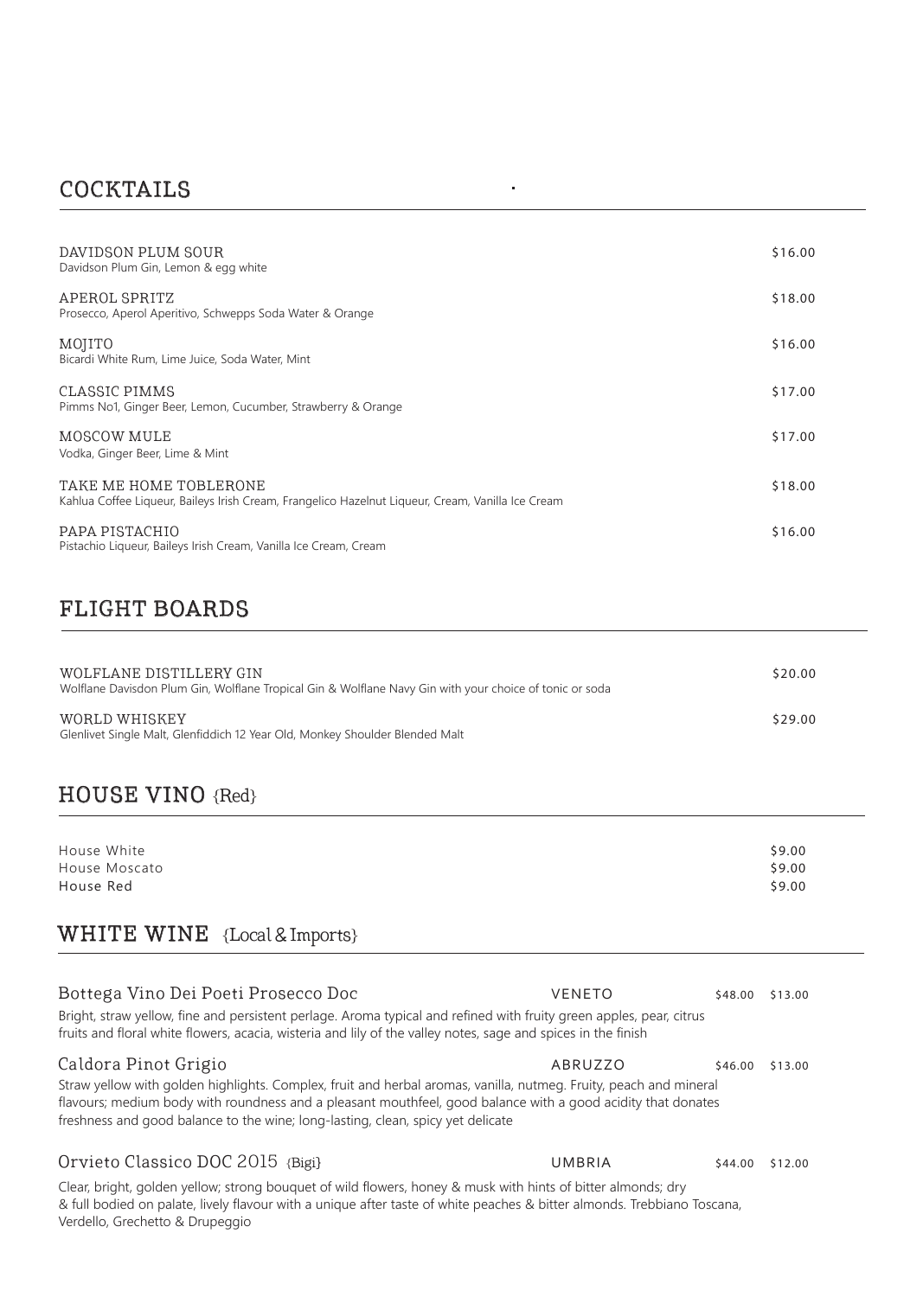# COCKTAILS

| DAVIDSON PLUM SOUR<br>Davidson Plum Gin, Lemon & egg white                                                                  | \$16.00 |
|-----------------------------------------------------------------------------------------------------------------------------|---------|
| APEROL SPRITZ<br>Prosecco, Aperol Aperitivo, Schwepps Soda Water & Orange                                                   | \$18.00 |
| MOJITO<br>Bicardi White Rum, Lime Juice, Soda Water, Mint                                                                   | \$16.00 |
| CLASSIC PIMMS<br>Pimms No1, Ginger Beer, Lemon, Cucumber, Strawberry & Orange                                               | \$17.00 |
| MOSCOW MULE<br>Vodka, Ginger Beer, Lime & Mint                                                                              | \$17.00 |
| TAKE ME HOME TOBLERONE<br>Kahlua Coffee Liqueur, Baileys Irish Cream, Frangelico Hazelnut Liqueur, Cream, Vanilla Ice Cream | \$18.00 |
| PAPA PISTACHIO<br>Pistachio Liqueur, Baileys Irish Cream, Vanilla Ice Cream, Cream                                          | \$16.00 |

 $\hat{\mathbf{r}}$ 

# FLIGHT BOARDS

| WOLFLANE DISTILLERY GIN<br>Wolflane Davisdon Plum Gin, Wolflane Tropical Gin & Wolflane Navy Gin with your choice of tonic or soda | \$20.00 |
|------------------------------------------------------------------------------------------------------------------------------------|---------|
| WORLD WHISKEY<br>Glenlivet Single Malt, Glenfiddich 12 Year Old, Monkey Shoulder Blended Malt                                      | \$29.00 |

# HOUSE VINO {Red}

| \$9.00 |
|--------|
| \$9.00 |
| \$9.00 |
|        |

## WHITE WINE {Local & Imports}

| Bottega Vino Dei Poeti Prosecco Doc<br>Bright, straw yellow, fine and persistent perlage. Aroma typical and refined with fruity green apples, pear, citrus<br>fruits and floral white flowers, acacia, wisteria and lily of the valley notes, sage and spices in the finish                                                                                                   | <b>VENETO</b> | \$48.00 | \$13.00 |
|-------------------------------------------------------------------------------------------------------------------------------------------------------------------------------------------------------------------------------------------------------------------------------------------------------------------------------------------------------------------------------|---------------|---------|---------|
| Caldora Pinot Grigio<br>ABRUZZO<br>\$13.00<br>\$46.00<br>Straw yellow with golden highlights. Complex, fruit and herbal aromas, vanilla, nutmeg. Fruity, peach and mineral<br>flavours; medium body with roundness and a pleasant mouthfeel, good balance with a good acidity that donates<br>freshness and good balance to the wine; long-lasting, clean, spicy yet delicate |               |         |         |
| Orvieto Classico DOC 2015 {Bigi}                                                                                                                                                                                                                                                                                                                                              | UMBRIA        | \$44.00 | \$12.00 |
| Clear, bright, golden yellow; strong bouquet of wild flowers, honey & musk with hints of bitter almonds; dry<br>& full bodied on palate, lively flavour with a unique after taste of white peaches & bitter almonds. Trebbiano Toscana,                                                                                                                                       |               |         |         |

Verdello, Grechetto & Drupeggio